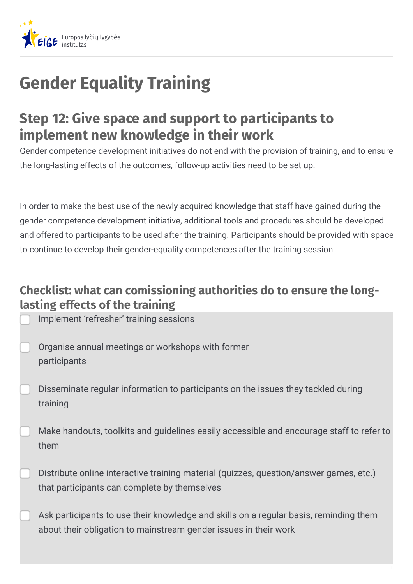

## **Gender Equality Training**

## **Step 12: Give space and support to participants to implement new knowledge in their work**

Gender competence development initiatives do not end with the provision of training, and to ensure the long-lasting effects of the outcomes, follow-up activities need to be set up.

In order to make the best use of the newly acquired knowledge that staff have gained during the gender competence development initiative, additional tools and procedures should be developed and offered to participants to be used after the training. Participants should be provided with space to continue to develop their gender-equality competences after the training session.

## **Checklist: what can comissioning authorities do to ensure the longlasting effects of the training**

Implement 'refresher' training sessions

- Organise annual meetings or workshops with former participants
- Disseminate regular information to participants on the issues they tackled during training
- Make handouts, toolkits and guidelines easily accessible and encourage staff to refer to them
- Distribute online interactive training material (quizzes, question/answer games, etc.) that participants can complete by themselves
- Ask participants to use their knowledge and skills on a regular basis, reminding them about their obligation to mainstream gender issues in their work